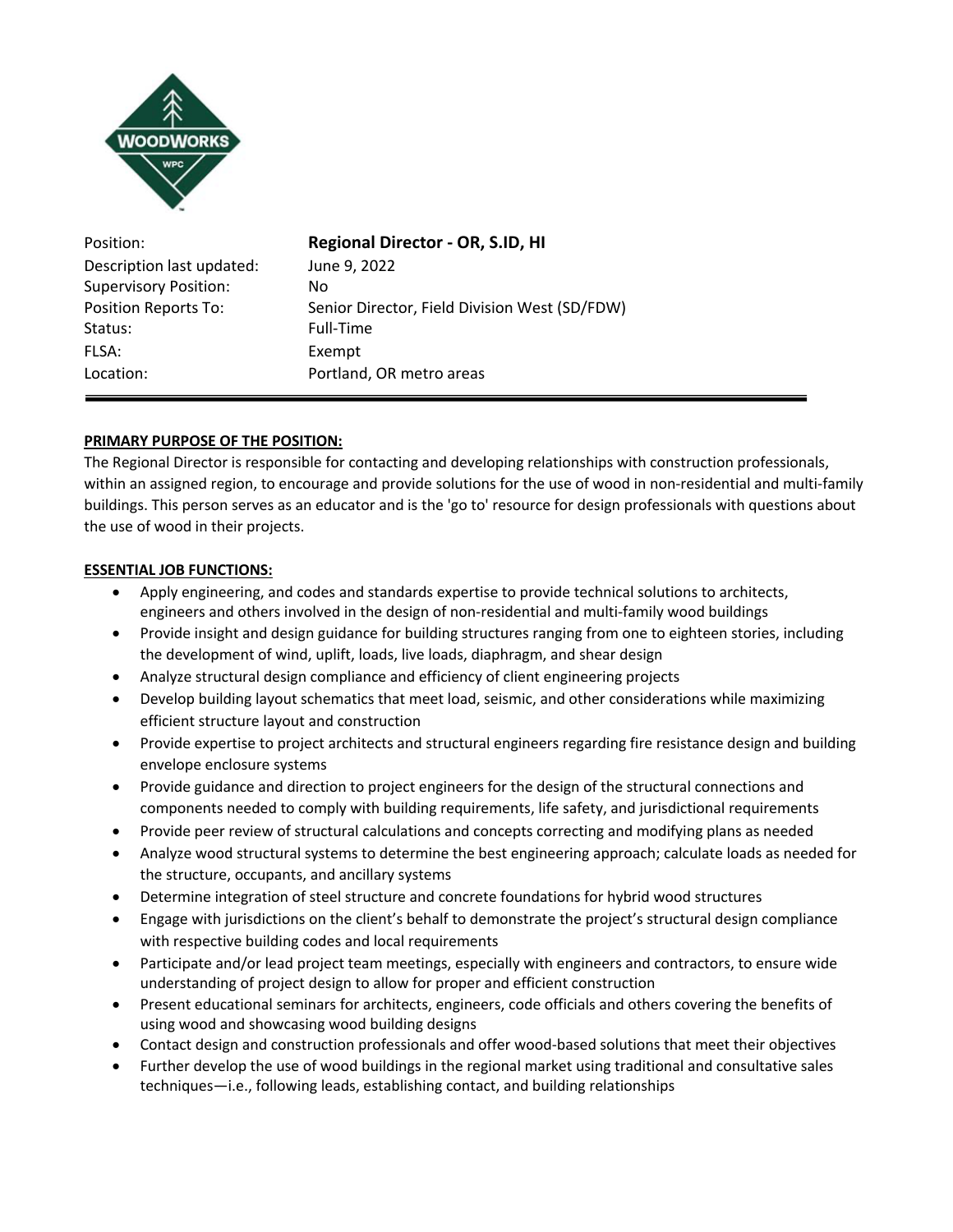

| Position:                    | <b>Regional Director - OR, S.ID, HI</b>       |
|------------------------------|-----------------------------------------------|
| Description last updated:    | June 9, 2022                                  |
| <b>Supervisory Position:</b> | Nο                                            |
| <b>Position Reports To:</b>  | Senior Director, Field Division West (SD/FDW) |
| Status:                      | Full-Time                                     |
| FLSA:                        | Exempt                                        |
| Location:                    | Portland, OR metro areas                      |

# **PRIMARY PURPOSE OF THE POSITION:**

The Regional Director is responsible for contacting and developing relationships with construction professionals, within an assigned region, to encourage and provide solutions for the use of wood in non-residential and multi-family buildings. This person serves as an educator and is the 'go to' resource for design professionals with questions about the use of wood in their projects.

### **ESSENTIAL JOB FUNCTIONS:**

- Apply engineering, and codes and standards expertise to provide technical solutions to architects, engineers and others involved in the design of non-residential and multi-family wood buildings
- Provide insight and design guidance for building structures ranging from one to eighteen stories, including the development of wind, uplift, loads, live loads, diaphragm, and shear design
- Analyze structural design compliance and efficiency of client engineering projects
- Develop building layout schematics that meet load, seismic, and other considerations while maximizing efficient structure layout and construction
- Provide expertise to project architects and structural engineers regarding fire resistance design and building envelope enclosure systems
- Provide guidance and direction to project engineers for the design of the structural connections and components needed to comply with building requirements, life safety, and jurisdictional requirements
- Provide peer review of structural calculations and concepts correcting and modifying plans as needed
- Analyze wood structural systems to determine the best engineering approach; calculate loads as needed for the structure, occupants, and ancillary systems
- Determine integration of steel structure and concrete foundations for hybrid wood structures
- Engage with jurisdictions on the client's behalf to demonstrate the project's structural design compliance with respective building codes and local requirements
- Participate and/or lead project team meetings, especially with engineers and contractors, to ensure wide understanding of project design to allow for proper and efficient construction
- Present educational seminars for architects, engineers, code officials and others covering the benefits of using wood and showcasing wood building designs
- Contact design and construction professionals and offer wood-based solutions that meet their objectives
- Further develop the use of wood buildings in the regional market using traditional and consultative sales techniques—i.e., following leads, establishing contact, and building relationships